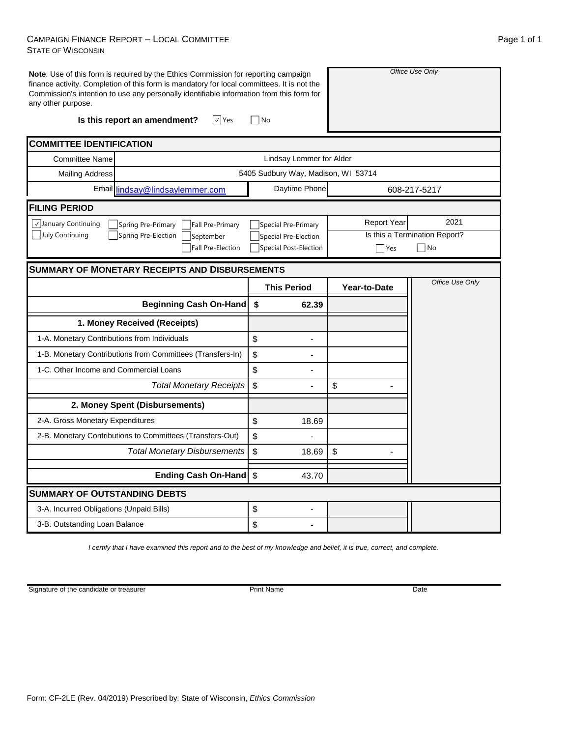## CAMPAIGN FINANCE REPORT – LOCAL COMMITTEE STATE OF WISCONSIN

| any other purpose.                                            | Note: Use of this form is required by the Ethics Commission for reporting campaign<br>finance activity. Completion of this form is mandatory for local committees. It is not the<br>Commission's intention to use any personally identifiable information from this form for<br>Is this report an amendment?<br>$ v $ Yes | No                               |                               | Office Use Only |  |  |  |  |
|---------------------------------------------------------------|---------------------------------------------------------------------------------------------------------------------------------------------------------------------------------------------------------------------------------------------------------------------------------------------------------------------------|----------------------------------|-------------------------------|-----------------|--|--|--|--|
|                                                               |                                                                                                                                                                                                                                                                                                                           |                                  |                               |                 |  |  |  |  |
| <b>COMMITTEE IDENTIFICATION</b>                               |                                                                                                                                                                                                                                                                                                                           |                                  |                               |                 |  |  |  |  |
| <b>Committee Name</b>                                         | Lindsay Lemmer for Alder                                                                                                                                                                                                                                                                                                  |                                  |                               |                 |  |  |  |  |
| <b>Mailing Address</b>                                        | 5405 Sudbury Way, Madison, WI 53714                                                                                                                                                                                                                                                                                       |                                  |                               |                 |  |  |  |  |
| Email lindsay@lindsaylemmer.com                               |                                                                                                                                                                                                                                                                                                                           | Daytime Phone                    |                               | 608-217-5217    |  |  |  |  |
| <b>FILING PERIOD</b>                                          |                                                                                                                                                                                                                                                                                                                           |                                  |                               |                 |  |  |  |  |
| √January Continuing<br>Spring Pre-Primary<br>Fall Pre-Primary |                                                                                                                                                                                                                                                                                                                           | Special Pre-Primary              | <b>Report Year</b>            | 2021            |  |  |  |  |
| July Continuing<br>Spring Pre-Election<br>September           |                                                                                                                                                                                                                                                                                                                           | Special Pre-Election             | Is this a Termination Report? |                 |  |  |  |  |
|                                                               | Fall Pre-Election                                                                                                                                                                                                                                                                                                         | Special Post-Election            | Yes                           | $\exists$ No    |  |  |  |  |
| <b>SUMMARY OF MONETARY RECEIPTS AND DISBURSEMENTS</b>         |                                                                                                                                                                                                                                                                                                                           |                                  |                               |                 |  |  |  |  |
|                                                               |                                                                                                                                                                                                                                                                                                                           | <b>This Period</b>               | Year-to-Date                  | Office Use Only |  |  |  |  |
|                                                               | <b>Beginning Cash On-Hand</b>                                                                                                                                                                                                                                                                                             | $\sqrt[6]{\frac{1}{2}}$<br>62.39 |                               |                 |  |  |  |  |
| 1. Money Received (Receipts)                                  |                                                                                                                                                                                                                                                                                                                           |                                  |                               |                 |  |  |  |  |
| 1-A. Monetary Contributions from Individuals                  |                                                                                                                                                                                                                                                                                                                           | \$                               |                               |                 |  |  |  |  |
|                                                               | 1-B. Monetary Contributions from Committees (Transfers-In)                                                                                                                                                                                                                                                                | \$                               |                               |                 |  |  |  |  |
| 1-C. Other Income and Commercial Loans                        |                                                                                                                                                                                                                                                                                                                           | \$                               |                               |                 |  |  |  |  |
| <b>Total Monetary Receipts</b>                                |                                                                                                                                                                                                                                                                                                                           | \$                               | \$                            |                 |  |  |  |  |
|                                                               | 2. Money Spent (Disbursements)                                                                                                                                                                                                                                                                                            |                                  |                               |                 |  |  |  |  |
| 2-A. Gross Monetary Expenditures                              |                                                                                                                                                                                                                                                                                                                           | \$<br>18.69                      |                               |                 |  |  |  |  |
| 2-B. Monetary Contributions to Committees (Transfers-Out)     |                                                                                                                                                                                                                                                                                                                           | \$                               |                               |                 |  |  |  |  |
| <b>Total Monetary Disbursements</b>                           |                                                                                                                                                                                                                                                                                                                           | \$<br>18.69                      | \$                            |                 |  |  |  |  |
|                                                               | Ending Cash On-Hand \$                                                                                                                                                                                                                                                                                                    | 43.70                            |                               |                 |  |  |  |  |
| <b>SUMMARY OF OUTSTANDING DEBTS</b>                           |                                                                                                                                                                                                                                                                                                                           |                                  |                               |                 |  |  |  |  |
| 3-A. Incurred Obligations (Unpaid Bills)                      |                                                                                                                                                                                                                                                                                                                           | \$                               |                               |                 |  |  |  |  |
| 3-B. Outstanding Loan Balance                                 |                                                                                                                                                                                                                                                                                                                           | \$                               |                               |                 |  |  |  |  |

*I certify that I have examined this report and to the best of my knowledge and belief, it is true, correct, and complete.*

Signature of the candidate or treasurer

Print Name Date